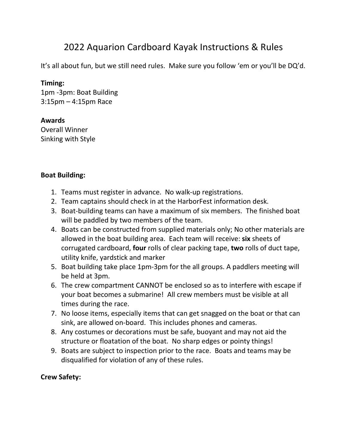# 2022 Aquarion Cardboard Kayak Instructions & Rules

It's all about fun, but we still need rules. Make sure you follow 'em or you'll be DQ'd.

#### **Timing:**

1pm -3pm: Boat Building 3:15pm – 4:15pm Race

#### **Awards**

Overall Winner Sinking with Style

#### **Boat Building:**

- 1. Teams must register in advance. No walk-up registrations.
- 2. Team captains should check in at the HarborFest information desk.
- 3. Boat-building teams can have a maximum of six members. The finished boat will be paddled by two members of the team.
- 4. Boats can be constructed from supplied materials only; No other materials are allowed in the boat building area. Each team will receive: **six** sheets of corrugated cardboard, **four** rolls of clear packing tape, **two** rolls of duct tape, utility knife, yardstick and marker
- 5. Boat building take place 1pm-3pm for the all groups. A paddlers meeting will be held at 3pm.
- 6. The crew compartment CANNOT be enclosed so as to interfere with escape if your boat becomes a submarine! All crew members must be visible at all times during the race.
- 7. No loose items, especially items that can get snagged on the boat or that can sink, are allowed on-board. This includes phones and cameras.
- 8. Any costumes or decorations must be safe, buoyant and may not aid the structure or floatation of the boat. No sharp edges or pointy things!
- 9. Boats are subject to inspection prior to the race. Boats and teams may be disqualified for violation of any of these rules.

## **Crew Safety:**